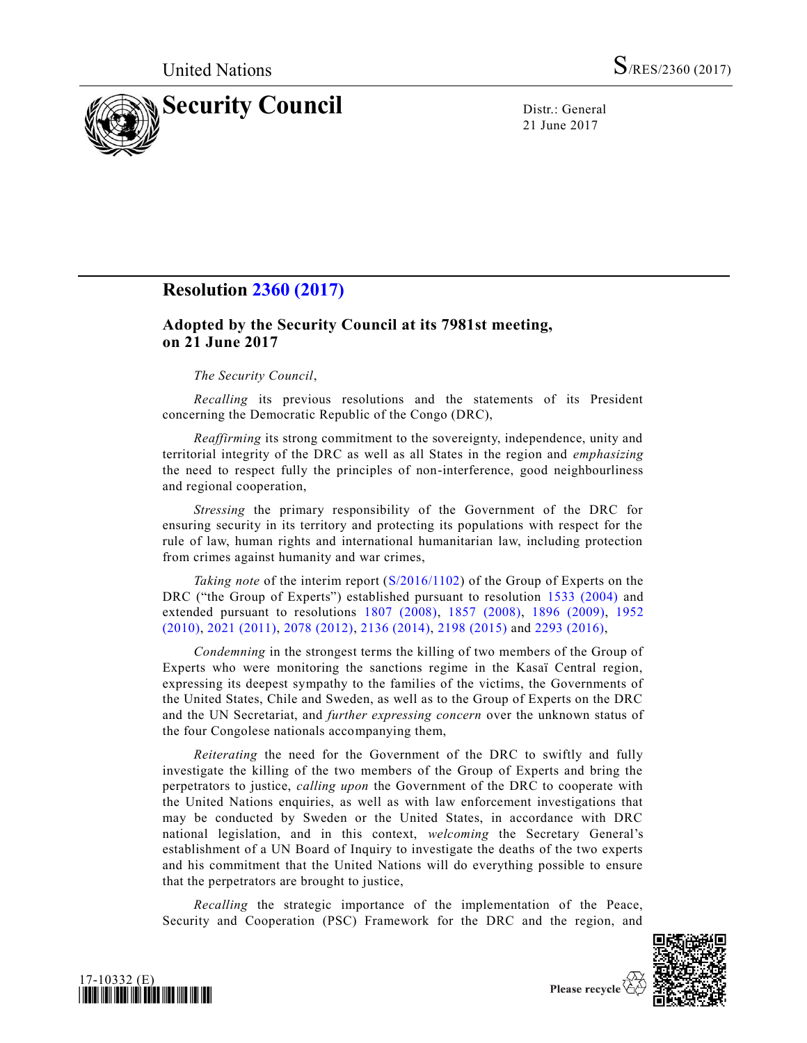

21 June 2017

# **Resolution [2360 \(2017\)](https://undocs.org/S/RES/2360(2017))**

# **Adopted by the Security Council at its 7981st meeting, on 21 June 2017**

#### *The Security Council*,

*Recalling* its previous resolutions and the statements of its President concerning the Democratic Republic of the Congo (DRC),

*Reaffirming* its strong commitment to the sovereignty, independence, unity and territorial integrity of the DRC as well as all States in the region and *emphasizing* the need to respect fully the principles of non-interference, good neighbourliness and regional cooperation,

*Stressing* the primary responsibility of the Government of the DRC for ensuring security in its territory and protecting its populations with respect for the rule of law, human rights and international humanitarian law, including protection from crimes against humanity and war crimes,

*Taking note* of the interim report [\(S/2016/1102\)](https://undocs.org/S/2016/1102) of the Group of Experts on the DRC ("the Group of Experts") established pursuant to resolution [1533 \(2004\)](https://undocs.org/S/RES/1533(2004)) and extended pursuant to resolutions [1807 \(2008\),](https://undocs.org/S/RES/1807(2008)) [1857 \(2008\),](https://undocs.org/S/RES/1857(2008)) [1896 \(2009\),](https://undocs.org/S/RES/1896(2009)) [1952](https://undocs.org/S/RES/1952(2010))  [\(2010\),](https://undocs.org/S/RES/1952(2010)) [2021 \(2011\),](https://undocs.org/S/RES/2021(2011)) [2078 \(2012\),](https://undocs.org/S/RES/2078(2012)) [2136 \(2014\),](https://undocs.org/S/RES/2136(2014)) [2198 \(2015\)](https://undocs.org/S/RES/2198(2015)) and [2293 \(2016\),](https://undocs.org/S/RES/2293(2016))

*Condemning* in the strongest terms the killing of two members of the Group of Experts who were monitoring the sanctions regime in the Kasaï Central region, expressing its deepest sympathy to the families of the victims, the Governments of the United States, Chile and Sweden, as well as to the Group of Experts on the DRC and the UN Secretariat, and *further expressing concern* over the unknown status of the four Congolese nationals accompanying them,

*Reiterating* the need for the Government of the DRC to swiftly and fully investigate the killing of the two members of the Group of Experts and bring the perpetrators to justice, *calling upon* the Government of the DRC to cooperate with the United Nations enquiries, as well as with law enforcement investigations that may be conducted by Sweden or the United States, in accordance with DRC national legislation, and in this context, *welcoming* the Secretary General's establishment of a UN Board of Inquiry to investigate the deaths of the two experts and his commitment that the United Nations will do everything possible to ensure that the perpetrators are brought to justice,

*Recalling* the strategic importance of the implementation of the Peace, Security and Cooperation (PSC) Framework for the DRC and the region, and



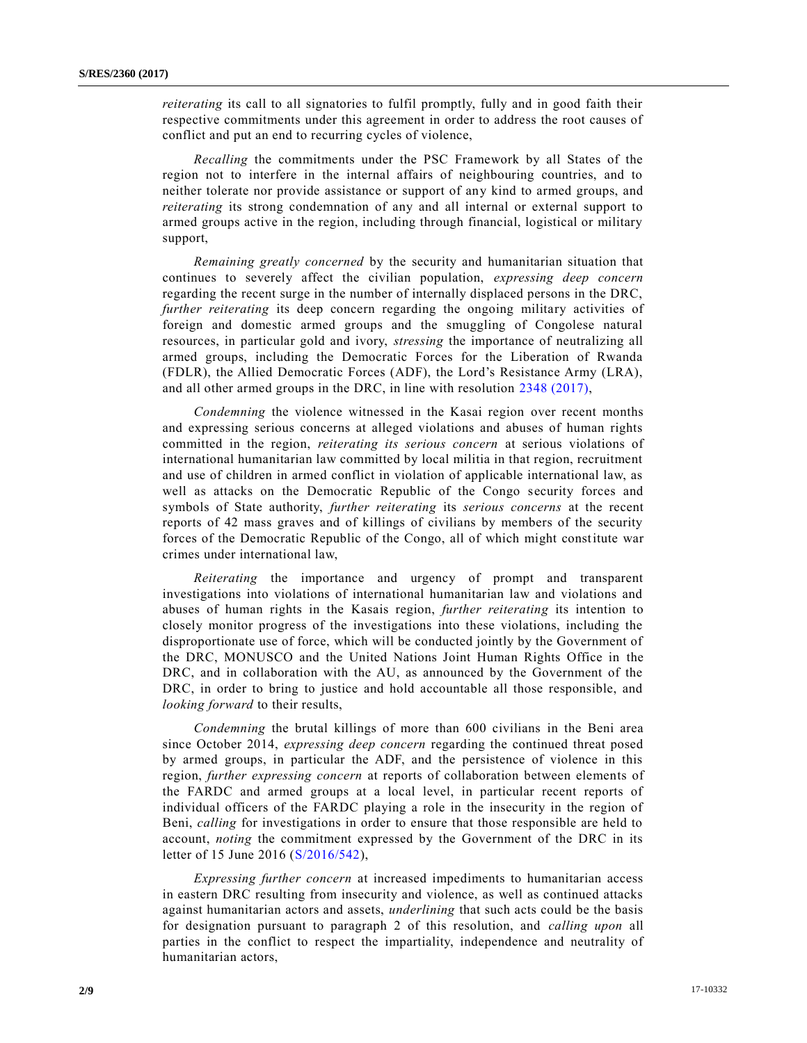*reiterating* its call to all signatories to fulfil promptly, fully and in good faith their respective commitments under this agreement in order to address the root causes of conflict and put an end to recurring cycles of violence,

*Recalling* the commitments under the PSC Framework by all States of the region not to interfere in the internal affairs of neighbouring countries, and to neither tolerate nor provide assistance or support of any kind to armed groups, and *reiterating* its strong condemnation of any and all internal or external support to armed groups active in the region, including through financial, logistical or military support,

*Remaining greatly concerned* by the security and humanitarian situation that continues to severely affect the civilian population, *expressing deep concern* regarding the recent surge in the number of internally displaced persons in the DRC, *further reiterating* its deep concern regarding the ongoing military activities of foreign and domestic armed groups and the smuggling of Congolese natural resources, in particular gold and ivory, *stressing* the importance of neutralizing all armed groups, including the Democratic Forces for the Liberation of Rwanda (FDLR), the Allied Democratic Forces (ADF), the Lord's Resistance Army (LRA), and all other armed groups in the DRC, in line with resolution [2348 \(2017\),](https://undocs.org/S/RES/2348(2017))

*Condemning* the violence witnessed in the Kasai region over recent months and expressing serious concerns at alleged violations and abuses of human rights committed in the region, *reiterating its serious concern* at serious violations of international humanitarian law committed by local militia in that region, recruitment and use of children in armed conflict in violation of applicable international law, as well as attacks on the Democratic Republic of the Congo security forces and symbols of State authority, *further reiterating* its *serious concerns* at the recent reports of 42 mass graves and of killings of civilians by members of the security forces of the Democratic Republic of the Congo, all of which might constitute war crimes under international law,

*Reiterating* the importance and urgency of prompt and transparent investigations into violations of international humanitarian law and violations and abuses of human rights in the Kasais region, *further reiterating* its intention to closely monitor progress of the investigations into these violations, including the disproportionate use of force, which will be conducted jointly by the Government of the DRC, MONUSCO and the United Nations Joint Human Rights Office in the DRC, and in collaboration with the AU, as announced by the Government of the DRC, in order to bring to justice and hold accountable all those responsible, and *looking forward* to their results,

*Condemning* the brutal killings of more than 600 civilians in the Beni area since October 2014, *expressing deep concern* regarding the continued threat posed by armed groups, in particular the ADF, and the persistence of violence in this region, *further expressing concern* at reports of collaboration between elements of the FARDC and armed groups at a local level, in particular recent reports of individual officers of the FARDC playing a role in the insecurity in the region of Beni, *calling* for investigations in order to ensure that those responsible are held to account, *noting* the commitment expressed by the Government of the DRC in its letter of 15 June 2016 [\(S/2016/542\)](https://undocs.org/S/2016/542),

*Expressing further concern* at increased impediments to humanitarian access in eastern DRC resulting from insecurity and violence, as well as continued attacks against humanitarian actors and assets, *underlining* that such acts could be the basis for designation pursuant to paragraph 2 of this resolution, and *calling upon* all parties in the conflict to respect the impartiality, independence and neutrality of humanitarian actors,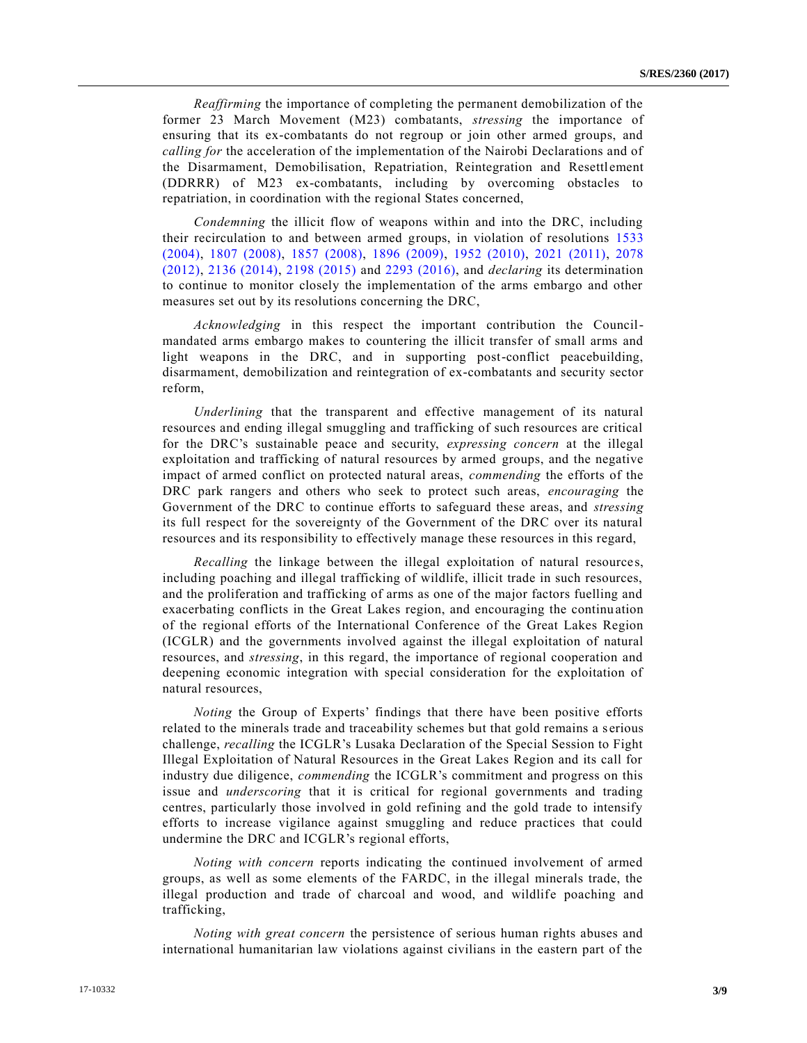*Reaffirming* the importance of completing the permanent demobilization of the former 23 March Movement (M23) combatants, *stressing* the importance of ensuring that its ex-combatants do not regroup or join other armed groups, and *calling for* the acceleration of the implementation of the Nairobi Declarations and of the Disarmament, Demobilisation, Repatriation, Reintegration and Resettlement (DDRRR) of M23 ex-combatants, including by overcoming obstacles to repatriation, in coordination with the regional States concerned,

*Condemning* the illicit flow of weapons within and into the DRC, including their recirculation to and between armed groups, in violation of resolutions [1533](https://undocs.org/S/RES/1533(2004))  [\(2004\),](https://undocs.org/S/RES/1533(2004)) [1807 \(2008\),](https://undocs.org/S/RES/1807(2008)) [1857 \(2008\),](https://undocs.org/S/RES/1857(2008)) [1896 \(2009\),](https://undocs.org/S/RES/1896(2009)) [1952 \(2010\),](https://undocs.org/S/RES/1952(2010)) [2021 \(2011\),](https://undocs.org/S/RES/2021(2011)) [2078](https://undocs.org/S/RES/2078(2012))  [\(2012\),](https://undocs.org/S/RES/2078(2012)) [2136 \(2014\),](https://undocs.org/S/RES/2136(2014)) [2198 \(2015\)](https://undocs.org/S/RES/2198(2015)) and [2293 \(2016\),](https://undocs.org/S/RES/2293(2016)) and *declaring* its determination to continue to monitor closely the implementation of the arms embargo and other measures set out by its resolutions concerning the DRC,

*Acknowledging* in this respect the important contribution the Councilmandated arms embargo makes to countering the illicit transfer of small arms and light weapons in the DRC, and in supporting post-conflict peacebuilding, disarmament, demobilization and reintegration of ex-combatants and security sector reform,

*Underlining* that the transparent and effective management of its natural resources and ending illegal smuggling and trafficking of such resources are critical for the DRC's sustainable peace and security, *expressing concern* at the illegal exploitation and trafficking of natural resources by armed groups, and the negative impact of armed conflict on protected natural areas, *commending* the efforts of the DRC park rangers and others who seek to protect such areas, *encouraging* the Government of the DRC to continue efforts to safeguard these areas, and *stressing* its full respect for the sovereignty of the Government of the DRC over its natural resources and its responsibility to effectively manage these resources in this regard,

*Recalling* the linkage between the illegal exploitation of natural resources, including poaching and illegal trafficking of wildlife, illicit trade in such resources, and the proliferation and trafficking of arms as one of the major factors fuelling and exacerbating conflicts in the Great Lakes region, and encouraging the continuation of the regional efforts of the International Conference of the Great Lakes Region (ICGLR) and the governments involved against the illegal exploitation of natural resources, and *stressing*, in this regard, the importance of regional cooperation and deepening economic integration with special consideration for the exploitation of natural resources,

*Noting* the Group of Experts' findings that there have been positive efforts related to the minerals trade and traceability schemes but that gold remains a s erious challenge, *recalling* the ICGLR's Lusaka Declaration of the Special Session to Fight Illegal Exploitation of Natural Resources in the Great Lakes Region and its call for industry due diligence, *commending* the ICGLR's commitment and progress on this issue and *underscoring* that it is critical for regional governments and trading centres, particularly those involved in gold refining and the gold trade to intensify efforts to increase vigilance against smuggling and reduce practices that could undermine the DRC and ICGLR's regional efforts,

*Noting with concern* reports indicating the continued involvement of armed groups, as well as some elements of the FARDC, in the illegal minerals trade, the illegal production and trade of charcoal and wood, and wildlife poaching and trafficking,

*Noting with great concern* the persistence of serious human rights abuses and international humanitarian law violations against civilians in the eastern part of the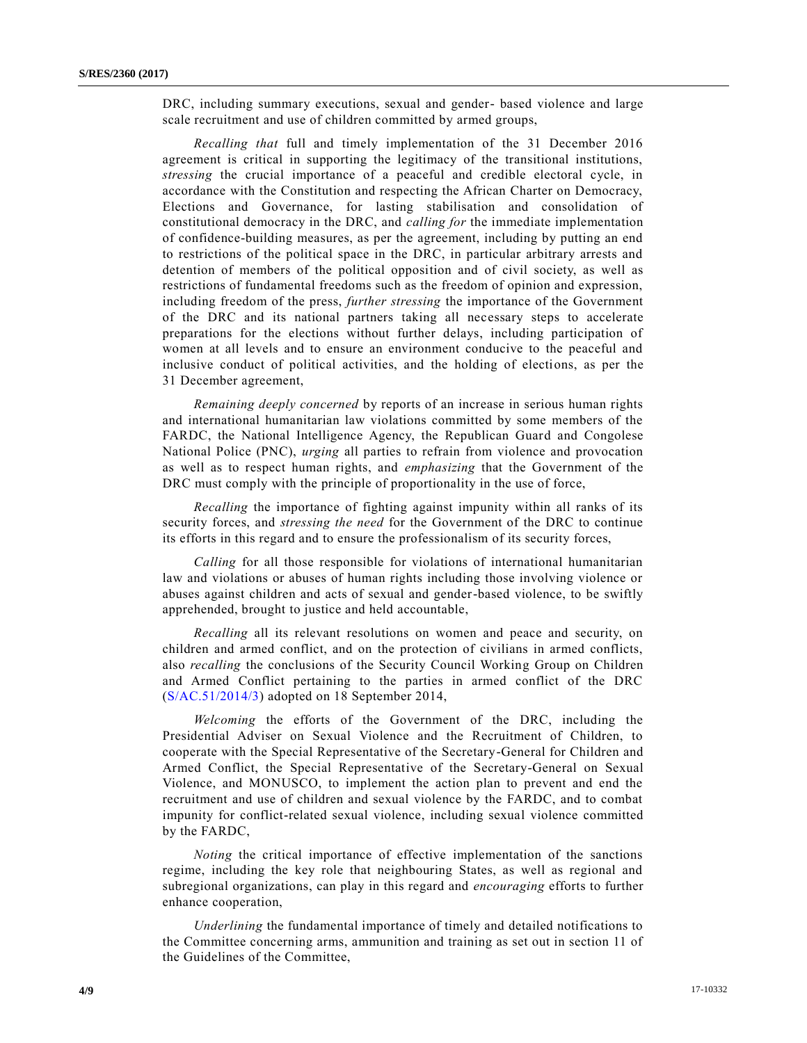DRC, including summary executions, sexual and gender- based violence and large scale recruitment and use of children committed by armed groups,

*Recalling that* full and timely implementation of the 31 December 2016 agreement is critical in supporting the legitimacy of the transitional institutions, *stressing* the crucial importance of a peaceful and credible electoral cycle, in accordance with the Constitution and respecting the African Charter on Democracy, Elections and Governance, for lasting stabilisation and consolidation of constitutional democracy in the DRC, and *calling for* the immediate implementation of confidence-building measures, as per the agreement, including by putting an end to restrictions of the political space in the DRC, in particular arbitrary arrests and detention of members of the political opposition and of civil society, as well as restrictions of fundamental freedoms such as the freedom of opinion and expression, including freedom of the press, *further stressing* the importance of the Government of the DRC and its national partners taking all necessary steps to accelerate preparations for the elections without further delays, including participation of women at all levels and to ensure an environment conducive to the peaceful and inclusive conduct of political activities, and the holding of elections, as per the 31 December agreement,

*Remaining deeply concerned* by reports of an increase in serious human rights and international humanitarian law violations committed by some members of the FARDC, the National Intelligence Agency, the Republican Guard and Congolese National Police (PNC), *urging* all parties to refrain from violence and provocation as well as to respect human rights, and *emphasizing* that the Government of the DRC must comply with the principle of proportionality in the use of force,

*Recalling* the importance of fighting against impunity within all ranks of its security forces, and *stressing the need* for the Government of the DRC to continue its efforts in this regard and to ensure the professionalism of its security forces,

*Calling* for all those responsible for violations of international humanitarian law and violations or abuses of human rights including those involving violence or abuses against children and acts of sexual and gender-based violence, to be swiftly apprehended, brought to justice and held accountable,

*Recalling* all its relevant resolutions on women and peace and security, on children and armed conflict, and on the protection of civilians in armed conflicts, also *recalling* the conclusions of the Security Council Working Group on Children and Armed Conflict pertaining to the parties in armed conflict of the DRC [\(S/AC.51/2014/3\)](https://undocs.org/S/AC.51/2014/3) adopted on 18 September 2014,

*Welcoming* the efforts of the Government of the DRC, including the Presidential Adviser on Sexual Violence and the Recruitment of Children, to cooperate with the Special Representative of the Secretary-General for Children and Armed Conflict, the Special Representative of the Secretary-General on Sexual Violence, and MONUSCO, to implement the action plan to prevent and end the recruitment and use of children and sexual violence by the FARDC, and to combat impunity for conflict-related sexual violence, including sexual violence committed by the FARDC,

*Noting* the critical importance of effective implementation of the sanctions regime, including the key role that neighbouring States, as well as regional and subregional organizations, can play in this regard and *encouraging* efforts to further enhance cooperation,

*Underlining* the fundamental importance of timely and detailed notifications to the Committee concerning arms, ammunition and training as set out in section 11 of the Guidelines of the Committee,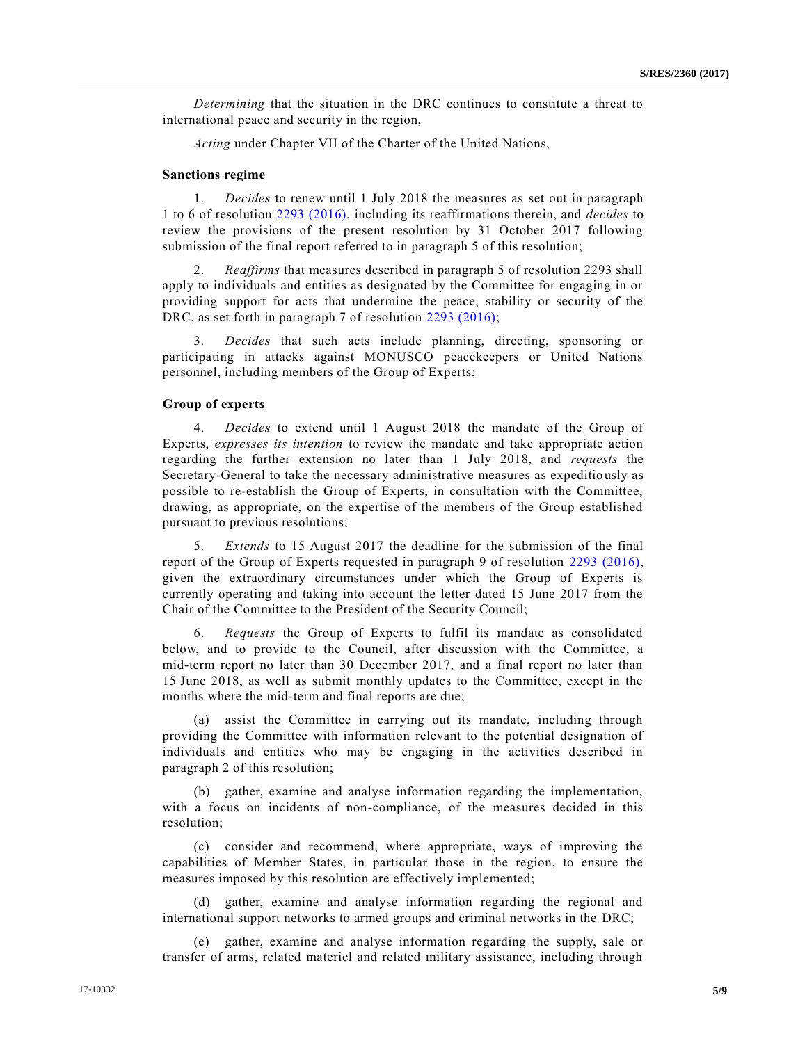*Determining* that the situation in the DRC continues to constitute a threat to international peace and security in the region,

*Acting* under Chapter VII of the Charter of the United Nations,

#### **Sanctions regime**

1. *Decides* to renew until 1 July 2018 the measures as set out in paragraph 1 to 6 of resolution [2293 \(2016\),](https://undocs.org/S/RES/2293(2016)) including its reaffirmations therein, and *decides* to review the provisions of the present resolution by 31 October 2017 following submission of the final report referred to in paragraph 5 of this resolution;

2. *Reaffirms* that measures described in paragraph 5 of resolution 2293 shall apply to individuals and entities as designated by the Committee for engaging in or providing support for acts that undermine the peace, stability or security of the DRC, as set forth in paragraph 7 of resolution [2293 \(2016\);](https://undocs.org/S/RES/2293(2016))

3. *Decides* that such acts include planning, directing, sponsoring or participating in attacks against MONUSCO peacekeepers or United Nations personnel, including members of the Group of Experts;

# **Group of experts**

4. *Decides* to extend until 1 August 2018 the mandate of the Group of Experts, *expresses its intention* to review the mandate and take appropriate action regarding the further extension no later than 1 July 2018, and *requests* the Secretary-General to take the necessary administrative measures as expeditiously as possible to re-establish the Group of Experts, in consultation with the Committee, drawing, as appropriate, on the expertise of the members of the Group established pursuant to previous resolutions;

5. *Extends* to 15 August 2017 the deadline for the submission of the final report of the Group of Experts requested in paragraph 9 of resolution [2293 \(2016\),](https://undocs.org/S/RES/2293(2016)) given the extraordinary circumstances under which the Group of Experts is currently operating and taking into account the letter dated 15 June 2017 from the Chair of the Committee to the President of the Security Council;

6. *Requests* the Group of Experts to fulfil its mandate as consolidated below, and to provide to the Council, after discussion with the Committee, a mid-term report no later than 30 December 2017, and a final report no later than 15 June 2018, as well as submit monthly updates to the Committee, except in the months where the mid-term and final reports are due;

(a) assist the Committee in carrying out its mandate, including through providing the Committee with information relevant to the potential designation of individuals and entities who may be engaging in the activities described in paragraph 2 of this resolution;

(b) gather, examine and analyse information regarding the implementation, with a focus on incidents of non-compliance, of the measures decided in this resolution;

(c) consider and recommend, where appropriate, ways of improving the capabilities of Member States, in particular those in the region, to ensure the measures imposed by this resolution are effectively implemented;

(d) gather, examine and analyse information regarding the regional and international support networks to armed groups and criminal networks in the DRC;

(e) gather, examine and analyse information regarding the supply, sale or transfer of arms, related materiel and related military assistance, including through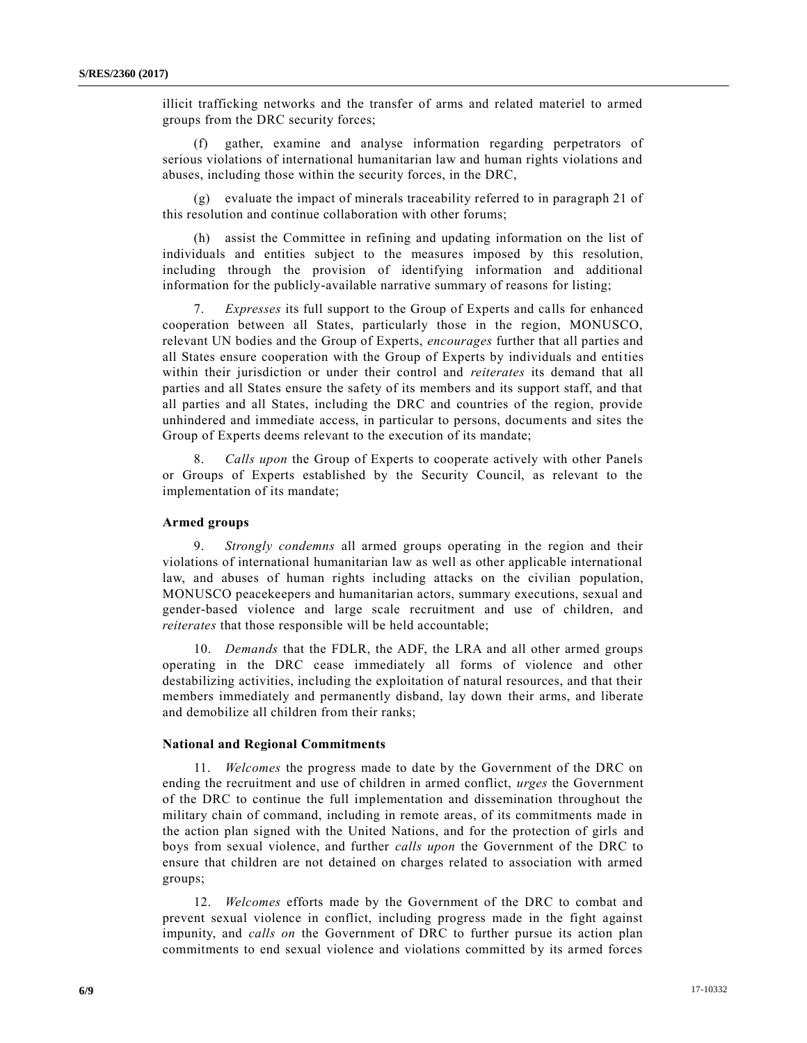illicit trafficking networks and the transfer of arms and related materiel to armed groups from the DRC security forces;

(f) gather, examine and analyse information regarding perpetrators of serious violations of international humanitarian law and human rights violations and abuses, including those within the security forces, in the DRC,

(g) evaluate the impact of minerals traceability referred to in paragraph 21 of this resolution and continue collaboration with other forums;

(h) assist the Committee in refining and updating information on the list of individuals and entities subject to the measures imposed by this resolution, including through the provision of identifying information and additional information for the publicly-available narrative summary of reasons for listing;

7. *Expresses* its full support to the Group of Experts and calls for enhanced cooperation between all States, particularly those in the region, MONUSCO, relevant UN bodies and the Group of Experts, *encourages* further that all parties and all States ensure cooperation with the Group of Experts by individuals and entities within their jurisdiction or under their control and *reiterates* its demand that all parties and all States ensure the safety of its members and its support staff, and that all parties and all States, including the DRC and countries of the region, provide unhindered and immediate access, in particular to persons, documents and sites the Group of Experts deems relevant to the execution of its mandate;

8. *Calls upon* the Group of Experts to cooperate actively with other Panels or Groups of Experts established by the Security Council, as relevant to the implementation of its mandate;

# **Armed groups**

9. *Strongly condemns* all armed groups operating in the region and their violations of international humanitarian law as well as other applicable international law, and abuses of human rights including attacks on the civilian population, MONUSCO peacekeepers and humanitarian actors, summary executions, sexual and gender-based violence and large scale recruitment and use of children, and *reiterates* that those responsible will be held accountable;

10. *Demands* that the FDLR, the ADF, the LRA and all other armed groups operating in the DRC cease immediately all forms of violence and other destabilizing activities, including the exploitation of natural resources, and that their members immediately and permanently disband, lay down their arms, and liberate and demobilize all children from their ranks;

#### **National and Regional Commitments**

11. *Welcomes* the progress made to date by the Government of the DRC on ending the recruitment and use of children in armed conflict, *urges* the Government of the DRC to continue the full implementation and dissemination throughout the military chain of command, including in remote areas, of its commitments made in the action plan signed with the United Nations, and for the protection of girls and boys from sexual violence, and further *calls upon* the Government of the DRC to ensure that children are not detained on charges related to association with armed groups;

12. *Welcomes* efforts made by the Government of the DRC to combat and prevent sexual violence in conflict, including progress made in the fight against impunity, and *calls on* the Government of DRC to further pursue its action plan commitments to end sexual violence and violations committed by its armed forces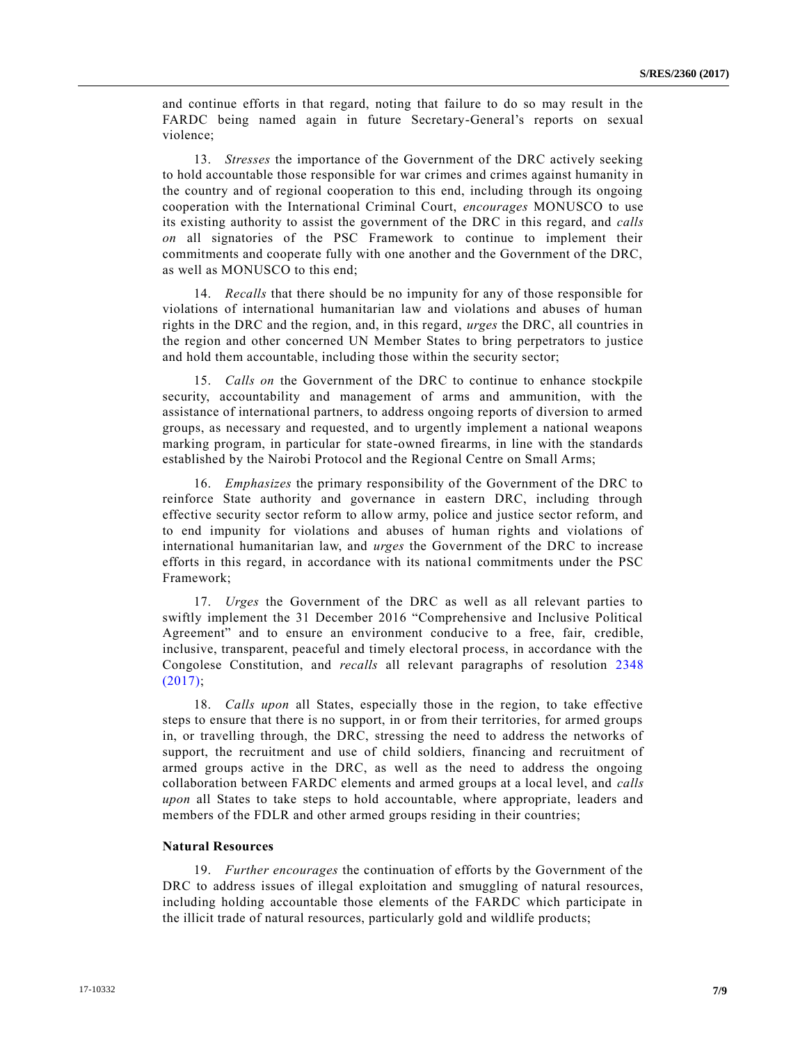and continue efforts in that regard, noting that failure to do so may result in the FARDC being named again in future Secretary-General's reports on sexual violence;

13. *Stresses* the importance of the Government of the DRC actively seeking to hold accountable those responsible for war crimes and crimes against humanity in the country and of regional cooperation to this end, including through its ongoing cooperation with the International Criminal Court, *encourages* MONUSCO to use its existing authority to assist the government of the DRC in this regard, and *calls on* all signatories of the PSC Framework to continue to implement their commitments and cooperate fully with one another and the Government of the DRC, as well as MONUSCO to this end;

14. *Recalls* that there should be no impunity for any of those responsible for violations of international humanitarian law and violations and abuses of human rights in the DRC and the region, and, in this regard, *urges* the DRC, all countries in the region and other concerned UN Member States to bring perpetrators to justice and hold them accountable, including those within the security sector;

15. *Calls on* the Government of the DRC to continue to enhance stockpile security, accountability and management of arms and ammunition, with the assistance of international partners, to address ongoing reports of diversion to armed groups, as necessary and requested, and to urgently implement a national weapons marking program, in particular for state-owned firearms, in line with the standards established by the Nairobi Protocol and the Regional Centre on Small Arms;

16. *Emphasizes* the primary responsibility of the Government of the DRC to reinforce State authority and governance in eastern DRC, including through effective security sector reform to allow army, police and justice sector reform, and to end impunity for violations and abuses of human rights and violations of international humanitarian law, and *urges* the Government of the DRC to increase efforts in this regard, in accordance with its national commitments under the PSC Framework;

17. *Urges* the Government of the DRC as well as all relevant parties to swiftly implement the 31 December 2016 "Comprehensive and Inclusive Political Agreement" and to ensure an environment conducive to a free, fair, credible, inclusive, transparent, peaceful and timely electoral process, in accordance with the Congolese Constitution, and *recalls* all relevant paragraphs of resolution [2348](https://undocs.org/S/RES/2348(2017))  [\(2017\);](https://undocs.org/S/RES/2348(2017))

18. *Calls upon* all States, especially those in the region, to take effective steps to ensure that there is no support, in or from their territories, for armed groups in, or travelling through, the DRC, stressing the need to address the networks of support, the recruitment and use of child soldiers, financing and recruitment of armed groups active in the DRC, as well as the need to address the ongoing collaboration between FARDC elements and armed groups at a local level, and *calls upon* all States to take steps to hold accountable, where appropriate, leaders and members of the FDLR and other armed groups residing in their countries;

## **Natural Resources**

19. *Further encourages* the continuation of efforts by the Government of the DRC to address issues of illegal exploitation and smuggling of natural resources, including holding accountable those elements of the FARDC which participate in the illicit trade of natural resources, particularly gold and wildlife products;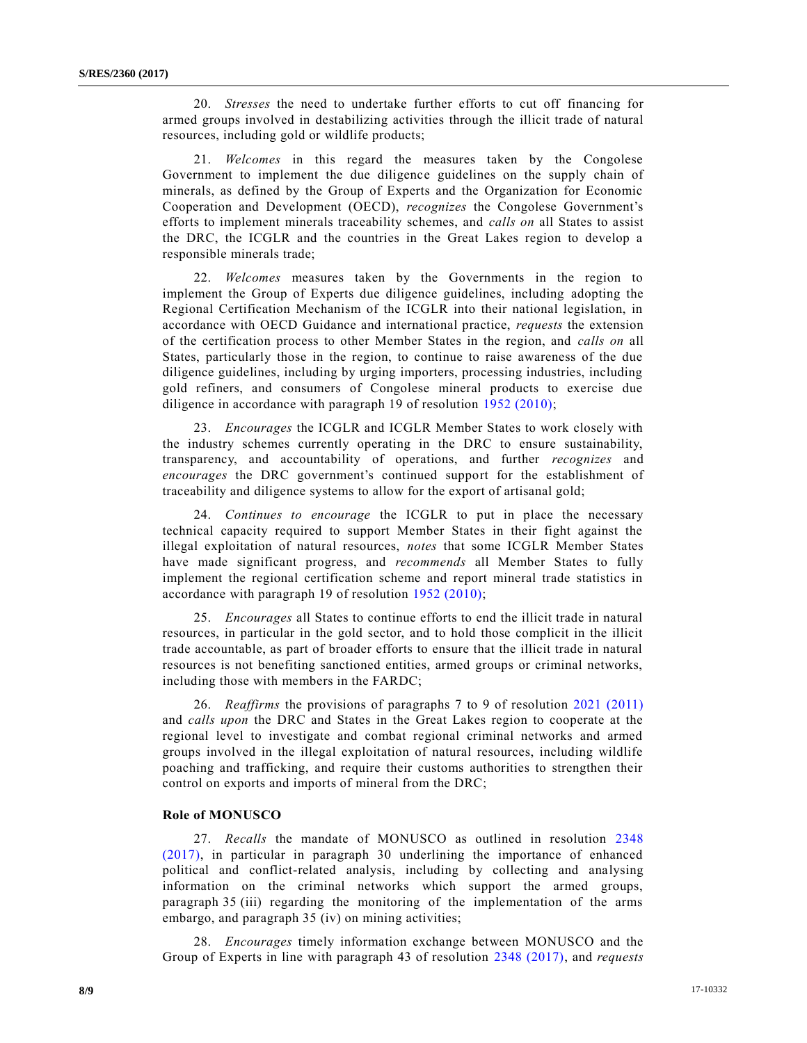20. *Stresses* the need to undertake further efforts to cut off financing for armed groups involved in destabilizing activities through the illicit trade of natural resources, including gold or wildlife products;

21. *Welcomes* in this regard the measures taken by the Congolese Government to implement the due diligence guidelines on the supply chain of minerals, as defined by the Group of Experts and the Organization for Economic Cooperation and Development (OECD), *recognizes* the Congolese Government's efforts to implement minerals traceability schemes, and *calls on* all States to assist the DRC, the ICGLR and the countries in the Great Lakes region to develop a responsible minerals trade;

22. *Welcomes* measures taken by the Governments in the region to implement the Group of Experts due diligence guidelines, including adopting the Regional Certification Mechanism of the ICGLR into their national legislation, in accordance with OECD Guidance and international practice, *requests* the extension of the certification process to other Member States in the region, and *calls on* all States, particularly those in the region, to continue to raise awareness of the due diligence guidelines, including by urging importers, processing industries, including gold refiners, and consumers of Congolese mineral products to exercise due diligence in accordance with paragraph 19 of resolution [1952 \(2010\);](https://undocs.org/S/RES/1952(2010))

23. *Encourages* the ICGLR and ICGLR Member States to work closely with the industry schemes currently operating in the DRC to ensure sustainability, transparency, and accountability of operations, and further *recognizes* and *encourages* the DRC government's continued support for the establishment of traceability and diligence systems to allow for the export of artisanal gold;

24. *Continues to encourage* the ICGLR to put in place the necessary technical capacity required to support Member States in their fight against the illegal exploitation of natural resources, *notes* that some ICGLR Member States have made significant progress, and *recommends* all Member States to fully implement the regional certification scheme and report mineral trade statistics in accordance with paragraph 19 of resolution [1952 \(2010\);](https://undocs.org/S/RES/1952(2010))

25. *Encourages* all States to continue efforts to end the illicit trade in natural resources, in particular in the gold sector, and to hold those complicit in the illicit trade accountable, as part of broader efforts to ensure that the illicit trade in natural resources is not benefiting sanctioned entities, armed groups or criminal networks, including those with members in the FARDC;

26. *Reaffirms* the provisions of paragraphs 7 to 9 of resolution [2021 \(2011\)](https://undocs.org/S/RES/2021(2011)) and *calls upon* the DRC and States in the Great Lakes region to cooperate at the regional level to investigate and combat regional criminal networks and armed groups involved in the illegal exploitation of natural resources, including wildlife poaching and trafficking, and require their customs authorities to strengthen their control on exports and imports of mineral from the DRC;

# **Role of MONUSCO**

27. *Recalls* the mandate of MONUSCO as outlined in resolution [2348](https://undocs.org/S/RES/2348(2017))  [\(2017\),](https://undocs.org/S/RES/2348(2017)) in particular in paragraph 30 underlining the importance of enhanced political and conflict-related analysis, including by collecting and analysing information on the criminal networks which support the armed groups, paragraph 35 (iii) regarding the monitoring of the implementation of the arms embargo, and paragraph 35 (iv) on mining activities;

28. *Encourages* timely information exchange between MONUSCO and the Group of Experts in line with paragraph 43 of resolution [2348 \(2017\),](https://undocs.org/S/RES/2348(2017)) and *requests*